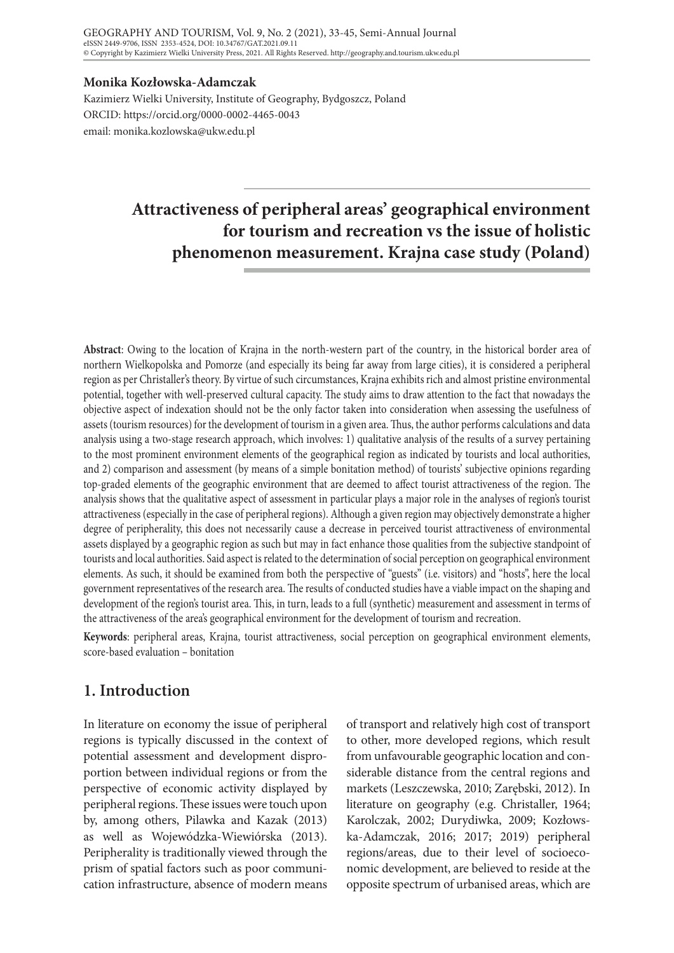#### **Monika Kozłowska-Adamczak**

Kazimierz Wielki University, Institute of Geography, Bydgoszcz, Poland ORCID: https://orcid.org/0000-0002-4465-0043 email: monika.kozlowska@ukw.edu.pl

# **Attractiveness of peripheral areas' geographical environment for tourism and recreation vs the issue of holistic phenomenon measurement. Krajna case study (Poland)**

**Abstract**: Owing to the location of Krajna in the north-western part of the country, in the historical border area of northern Wielkopolska and Pomorze (and especially its being far away from large cities), it is considered a peripheral region as per Christaller's theory. By virtue of such circumstances, Krajna exhibits rich and almost pristine environmental potential, together with well-preserved cultural capacity. The study aims to draw attention to the fact that nowadays the objective aspect of indexation should not be the only factor taken into consideration when assessing the usefulness of assets (tourism resources) for the development of tourism in a given area. Thus, the author performs calculations and data analysis using a two-stage research approach, which involves: 1) qualitative analysis of the results of a survey pertaining to the most prominent environment elements of the geographical region as indicated by tourists and local authorities, and 2) comparison and assessment (by means of a simple bonitation method) of tourists' subjective opinions regarding top-graded elements of the geographic environment that are deemed to affect tourist attractiveness of the region. The analysis shows that the qualitative aspect of assessment in particular plays a major role in the analyses of region's tourist attractiveness (especially in the case of peripheral regions). Although a given region may objectively demonstrate a higher degree of peripherality, this does not necessarily cause a decrease in perceived tourist attractiveness of environmental assets displayed by a geographic region as such but may in fact enhance those qualities from the subjective standpoint of tourists and local authorities. Said aspect is related to the determination of social perception on geographical environment elements. As such, it should be examined from both the perspective of "guests" (i.e. visitors) and "hosts", here the local government representatives of the research area. The results of conducted studies have a viable impact on the shaping and development of the region's tourist area. This, in turn, leads to a full (synthetic) measurement and assessment in terms of the attractiveness of the area's geographical environment for the development of tourism and recreation.

**Keywords**: peripheral areas, Krajna, tourist attractiveness, social perception on geographical environment elements, score-based evaluation – bonitation

# **1. Introduction**

In literature on economy the issue of peripheral regions is typically discussed in the context of potential assessment and development disproportion between individual regions or from the perspective of economic activity displayed by peripheral regions. These issues were touch upon by, among others, Pilawka and Kazak (2013) as well as Wojewódzka-Wiewiórska (2013). Peripherality is traditionally viewed through the prism of spatial factors such as poor communication infrastructure, absence of modern means

of transport and relatively high cost of transport to other, more developed regions, which result from unfavourable geographic location and considerable distance from the central regions and markets (Leszczewska, 2010; Zarębski, 2012). In literature on geography (e.g. Christaller, 1964; Karolczak, 2002; Durydiwka, 2009; Kozłowska-Adamczak, 2016; 2017; 2019) peripheral regions/areas, due to their level of socioeconomic development, are believed to reside at the opposite spectrum of urbanised areas, which are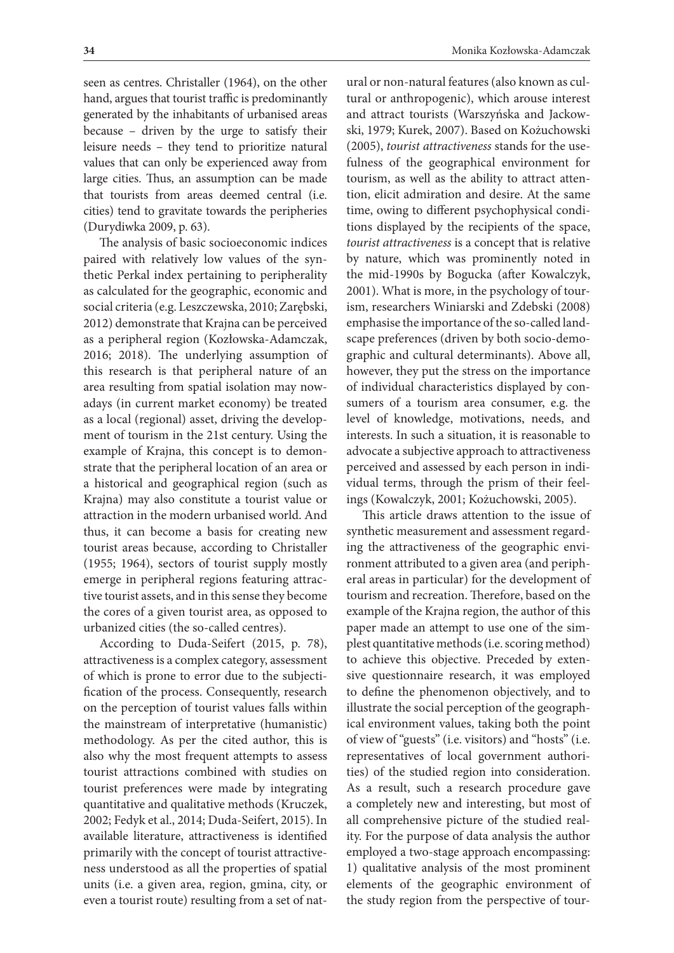seen as centres. Christaller (1964), on the other hand, argues that tourist traffic is predominantly generated by the inhabitants of urbanised areas because – driven by the urge to satisfy their leisure needs – they tend to prioritize natural values that can only be experienced away from large cities. Thus, an assumption can be made that tourists from areas deemed central (i.e. cities) tend to gravitate towards the peripheries (Durydiwka 2009, p. 63).

The analysis of basic socioeconomic indices paired with relatively low values of the synthetic Perkal index pertaining to peripherality as calculated for the geographic, economic and social criteria (e.g. Leszczewska, 2010; Zarębski, 2012) demonstrate that Krajna can be perceived as a peripheral region (Kozłowska-Adamczak, 2016; 2018). The underlying assumption of this research is that peripheral nature of an area resulting from spatial isolation may nowadays (in current market economy) be treated as a local (regional) asset, driving the development of tourism in the 21st century. Using the example of Krajna, this concept is to demonstrate that the peripheral location of an area or a historical and geographical region (such as Krajna) may also constitute a tourist value or attraction in the modern urbanised world. And thus, it can become a basis for creating new tourist areas because, according to Christaller (1955; 1964), sectors of tourist supply mostly emerge in peripheral regions featuring attractive tourist assets, and in this sense they become the cores of a given tourist area, as opposed to urbanized cities (the so-called centres).

According to Duda-Seifert (2015, p. 78), attractiveness is a complex category, assessment of which is prone to error due to the subjectification of the process. Consequently, research on the perception of tourist values falls within the mainstream of interpretative (humanistic) methodology. As per the cited author, this is also why the most frequent attempts to assess tourist attractions combined with studies on tourist preferences were made by integrating quantitative and qualitative methods (Kruczek, 2002; Fedyk et al., 2014; Duda-Seifert, 2015). In available literature, attractiveness is identified primarily with the concept of tourist attractiveness understood as all the properties of spatial units (i.e. a given area, region, gmina, city, or even a tourist route) resulting from a set of nat-

ural or non-natural features (also known as cultural or anthropogenic), which arouse interest and attract tourists (Warszyńska and Jackowski, 1979; Kurek, 2007). Based on Kożuchowski (2005), *tourist attractiveness* stands for the usefulness of the geographical environment for tourism, as well as the ability to attract attention, elicit admiration and desire. At the same time, owing to different psychophysical conditions displayed by the recipients of the space, *tourist attractiveness* is a concept that is relative by nature, which was prominently noted in the mid-1990s by Bogucka (after Kowalczyk, 2001). What is more, in the psychology of tourism, researchers Winiarski and Zdebski (2008) emphasise the importance of the so-called landscape preferences (driven by both socio-demographic and cultural determinants). Above all, however, they put the stress on the importance of individual characteristics displayed by consumers of a tourism area consumer, e.g. the level of knowledge, motivations, needs, and interests. In such a situation, it is reasonable to advocate a subjective approach to attractiveness perceived and assessed by each person in individual terms, through the prism of their feelings (Kowalczyk, 2001; Kożuchowski, 2005).

This article draws attention to the issue of synthetic measurement and assessment regarding the attractiveness of the geographic environment attributed to a given area (and peripheral areas in particular) for the development of tourism and recreation. Therefore, based on the example of the Krajna region, the author of this paper made an attempt to use one of the simplest quantitative methods (i.e. scoring method) to achieve this objective. Preceded by extensive questionnaire research, it was employed to define the phenomenon objectively, and to illustrate the social perception of the geographical environment values, taking both the point of view of "guests" (i.e. visitors) and "hosts" (i.e. representatives of local government authorities) of the studied region into consideration. As a result, such a research procedure gave a completely new and interesting, but most of all comprehensive picture of the studied reality. For the purpose of data analysis the author employed a two-stage approach encompassing: 1) qualitative analysis of the most prominent elements of the geographic environment of the study region from the perspective of tour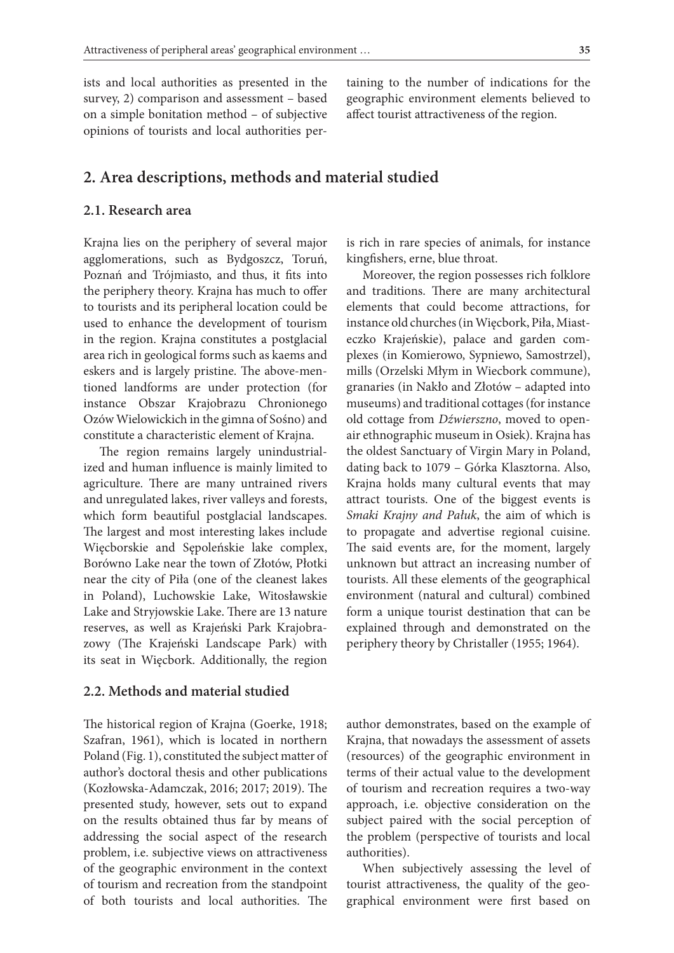ists and local authorities as presented in the survey, 2) comparison and assessment – based on a simple bonitation method – of subjective opinions of tourists and local authorities per-

taining to the number of indications for the geographic environment elements believed to affect tourist attractiveness of the region.

### **2. Area descriptions, methods and material studied**

#### **2.1. Research area**

Krajna lies on the periphery of several major agglomerations, such as Bydgoszcz, Toruń, Poznań and Trójmiasto, and thus, it fits into the periphery theory. Krajna has much to offer to tourists and its peripheral location could be used to enhance the development of tourism in the region. Krajna constitutes a postglacial area rich in geological forms such as kaems and eskers and is largely pristine. The above-mentioned landforms are under protection (for instance Obszar Krajobrazu Chronionego Ozów Wielowickich in the gimna of Sośno) and constitute a characteristic element of Krajna.

The region remains largely unindustrialized and human influence is mainly limited to agriculture. There are many untrained rivers and unregulated lakes, river valleys and forests, which form beautiful postglacial landscapes. The largest and most interesting lakes include Więcborskie and Sępoleńskie lake complex, Borówno Lake near the town of Złotów, Płotki near the city of Piła (one of the cleanest lakes in Poland), Luchowskie Lake, Witosławskie Lake and Stryjowskie Lake. There are 13 nature reserves, as well as Krajeński Park Krajobrazowy (The Krajeński Landscape Park) with its seat in Więcbork. Additionally, the region

#### **2.2. Methods and material studied**

The historical region of Krajna (Goerke, 1918; Szafran, 1961), which is located in northern Poland (Fig. 1), constituted the subject matter of author's doctoral thesis and other publications (Kozłowska-Adamczak, 2016; 2017; 2019). The presented study, however, sets out to expand on the results obtained thus far by means of addressing the social aspect of the research problem, i.e. subjective views on attractiveness of the geographic environment in the context of tourism and recreation from the standpoint of both tourists and local authorities. The

is rich in rare species of animals, for instance kingfishers, erne, blue throat.

Moreover, the region possesses rich folklore and traditions. There are many architectural elements that could become attractions, for instance old churches (in Więcbork, Piła, Miasteczko Krajeńskie), palace and garden complexes (in Komierowo, Sypniewo, Samostrzel), mills (Orzelski Młym in Wiecbork commune), granaries (in Nakło and Złotów – adapted into museums) and traditional cottages (for instance old cottage from *Dźwierszno*, moved to openair ethnographic museum in Osiek). Krajna has the oldest Sanctuary of Virgin Mary in Poland, dating back to 1079 – Górka Klasztorna. Also, Krajna holds many cultural events that may attract tourists. One of the biggest events is *Smaki Krajny and Pałuk*, the aim of which is to propagate and advertise regional cuisine. The said events are, for the moment, largely unknown but attract an increasing number of tourists. All these elements of the geographical environment (natural and cultural) combined form a unique tourist destination that can be explained through and demonstrated on the periphery theory by Christaller (1955; 1964).

author demonstrates, based on the example of Krajna, that nowadays the assessment of assets (resources) of the geographic environment in terms of their actual value to the development of tourism and recreation requires a two-way approach, i.e. objective consideration on the subject paired with the social perception of the problem (perspective of tourists and local authorities).

When subjectively assessing the level of tourist attractiveness, the quality of the geographical environment were first based on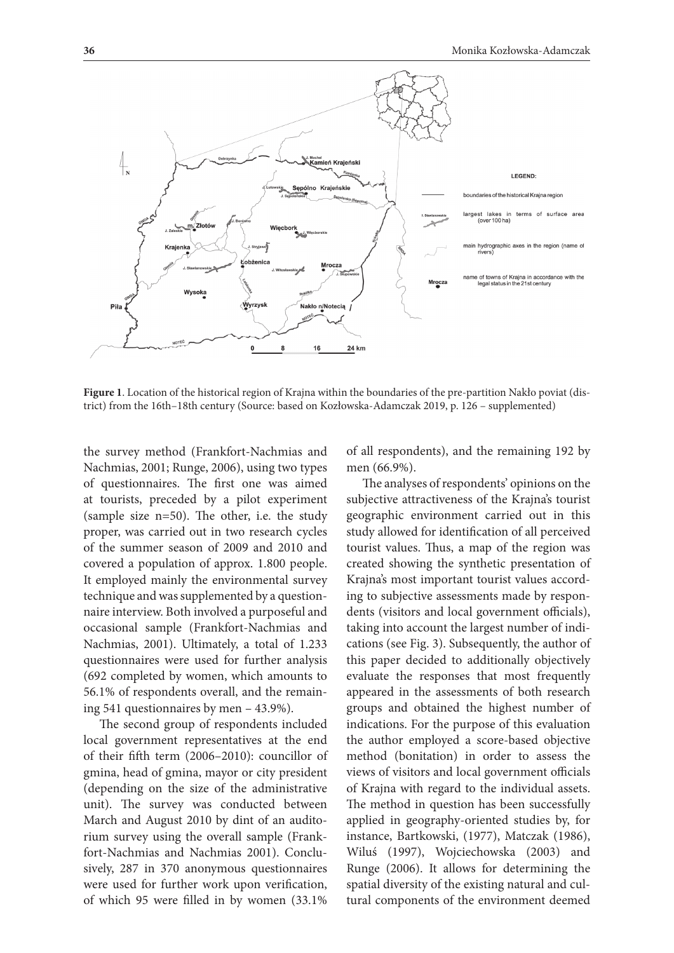

**Figure 1**. Location of the historical region of Krajna within the boundaries of the pre-partition Nakło poviat (district) from the 16th–18th century (Source: based on Kozłowska-Adamczak 2019, p. 126 – supplemented)

the survey method (Frankfort-Nachmias and Nachmias, 2001; Runge, 2006), using two types of questionnaires. The first one was aimed at tourists, preceded by a pilot experiment (sample size n=50). The other, i.e. the study proper, was carried out in two research cycles of the summer season of 2009 and 2010 and covered a population of approx. 1.800 people. It employed mainly the environmental survey technique and was supplemented by a questionnaire interview. Both involved a purposeful and occasional sample (Frankfort-Nachmias and Nachmias, 2001). Ultimately, a total of 1.233 questionnaires were used for further analysis (692 completed by women, which amounts to 56.1% of respondents overall, and the remaining 541 questionnaires by men – 43.9%).

The second group of respondents included local government representatives at the end of their fifth term (2006–2010): councillor of gmina, head of gmina, mayor or city president (depending on the size of the administrative unit). The survey was conducted between March and August 2010 by dint of an auditorium survey using the overall sample (Frankfort-Nachmias and Nachmias 2001). Conclusively, 287 in 370 anonymous questionnaires were used for further work upon verification, of which 95 were filled in by women (33.1%

of all respondents), and the remaining 192 by men (66.9%).

The analyses of respondents' opinions on the subjective attractiveness of the Krajna's tourist geographic environment carried out in this study allowed for identification of all perceived tourist values. Thus, a map of the region was created showing the synthetic presentation of Krajna's most important tourist values according to subjective assessments made by respondents (visitors and local government officials), taking into account the largest number of indications (see Fig. 3). Subsequently, the author of this paper decided to additionally objectively evaluate the responses that most frequently appeared in the assessments of both research groups and obtained the highest number of indications. For the purpose of this evaluation the author employed a score-based objective method (bonitation) in order to assess the views of visitors and local government officials of Krajna with regard to the individual assets. The method in question has been successfully applied in geography-oriented studies by, for instance, Bartkowski, (1977), Matczak (1986), Wiluś (1997), Wojciechowska (2003) and Runge (2006). It allows for determining the spatial diversity of the existing natural and cultural components of the environment deemed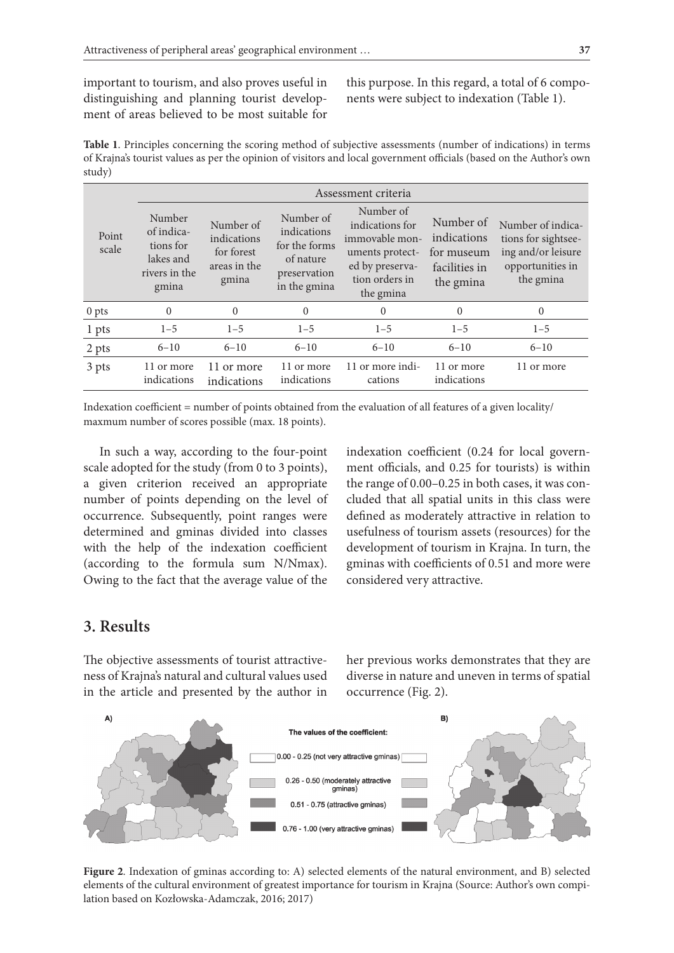important to tourism, and also proves useful in distinguishing and planning tourist development of areas believed to be most suitable for this purpose. In this regard, a total of 6 components were subject to indexation (Table 1).

**Table 1**. Principles concerning the scoring method of subjective assessments (number of indications) in terms of Krajna's tourist values as per the opinion of visitors and local government officials (based on the Author's own study)

| Point<br>scale   | Assessment criteria                                                      |                                                                 |                                                                                        |                                                                                                                     |                                                                      |                                                                                                 |  |  |
|------------------|--------------------------------------------------------------------------|-----------------------------------------------------------------|----------------------------------------------------------------------------------------|---------------------------------------------------------------------------------------------------------------------|----------------------------------------------------------------------|-------------------------------------------------------------------------------------------------|--|--|
|                  | Number<br>of indica-<br>tions for<br>lakes and<br>rivers in the<br>gmina | Number of<br>indications<br>for forest<br>areas in the<br>gmina | Number of<br>indications<br>for the forms<br>of nature<br>preservation<br>in the gmina | Number of<br>indications for<br>immovable mon-<br>uments protect-<br>ed by preserva-<br>tion orders in<br>the gmina | Number of<br>indications<br>for museum<br>facilities in<br>the gmina | Number of indica-<br>tions for sightsee-<br>ing and/or leisure<br>opportunities in<br>the gmina |  |  |
| 0 <sub>pts</sub> | $\Omega$                                                                 | $\Omega$                                                        | $\Omega$                                                                               | $\Omega$                                                                                                            | $\theta$                                                             | $\Omega$                                                                                        |  |  |
| 1 pts            | $1 - 5$                                                                  | $1 - 5$                                                         | $1 - 5$                                                                                | $1 - 5$                                                                                                             | $1 - 5$                                                              | $1 - 5$                                                                                         |  |  |
| 2 pts            | $6 - 10$                                                                 | $6 - 10$                                                        | $6 - 10$                                                                               | $6 - 10$                                                                                                            | $6 - 10$                                                             | $6 - 10$                                                                                        |  |  |
| 3 pts            | 11 or more<br>indications                                                | 11 or more<br>indications                                       | 11 or more<br>indications                                                              | 11 or more indi-<br>cations                                                                                         | 11 or more<br>indications                                            | 11 or more                                                                                      |  |  |

Indexation coefficient = number of points obtained from the evaluation of all features of a given locality/ maxmum number of scores possible (max. 18 points).

In such a way, according to the four-point scale adopted for the study (from 0 to 3 points), a given criterion received an appropriate number of points depending on the level of occurrence. Subsequently, point ranges were determined and gminas divided into classes with the help of the indexation coefficient (according to the formula sum N/Nmax). Owing to the fact that the average value of the

indexation coefficient (0.24 for local government officials, and 0.25 for tourists) is within the range of 0.00–0.25 in both cases, it was concluded that all spatial units in this class were defined as moderately attractive in relation to usefulness of tourism assets (resources) for the development of tourism in Krajna. In turn, the gminas with coefficients of 0.51 and more were considered very attractive.

# **3. Results**

The objective assessments of tourist attractiveness of Krajna's natural and cultural values used in the article and presented by the author in her previous works demonstrates that they are diverse in nature and uneven in terms of spatial occurrence (Fig. 2).



**Figure 2**. Indexation of gminas according to: A) selected elements of the natural environment, and B) selected elements of the cultural environment of greatest importance for tourism in Krajna (Source: Author's own compilation based on Kozłowska-Adamczak, 2016; 2017)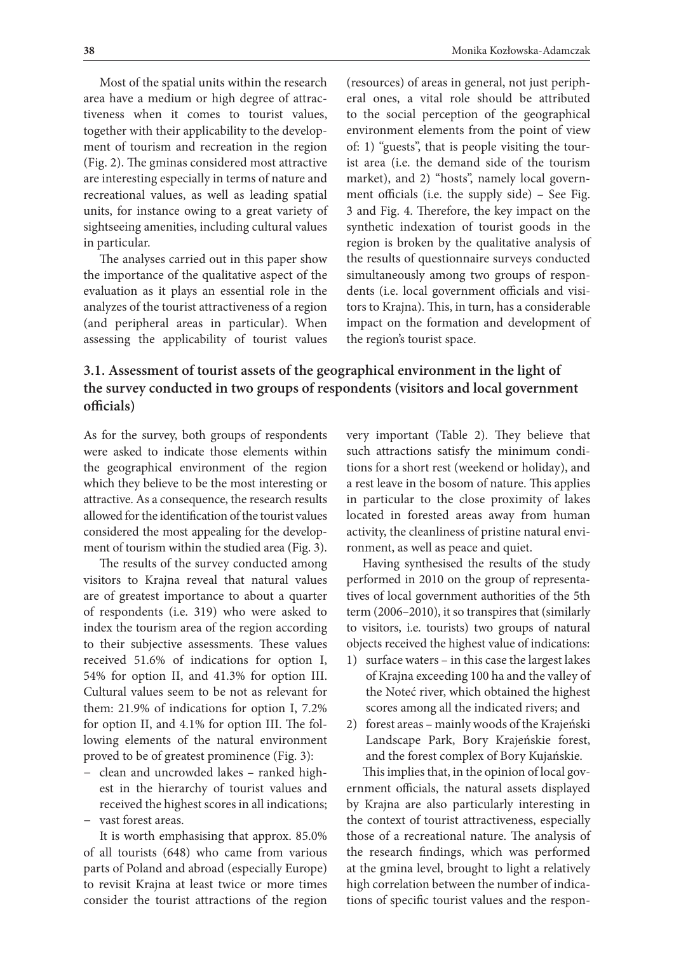Most of the spatial units within the research area have a medium or high degree of attractiveness when it comes to tourist values, together with their applicability to the development of tourism and recreation in the region (Fig. 2). The gminas considered most attractive are interesting especially in terms of nature and recreational values, as well as leading spatial units, for instance owing to a great variety of sightseeing amenities, including cultural values in particular.

The analyses carried out in this paper show the importance of the qualitative aspect of the evaluation as it plays an essential role in the analyzes of the tourist attractiveness of a region (and peripheral areas in particular). When assessing the applicability of tourist values

(resources) of areas in general, not just peripheral ones, a vital role should be attributed to the social perception of the geographical environment elements from the point of view of: 1) "guests", that is people visiting the tourist area (i.e. the demand side of the tourism market), and 2) "hosts", namely local government officials (i.e. the supply side) – See Fig. 3 and Fig. 4. Therefore, the key impact on the synthetic indexation of tourist goods in the region is broken by the qualitative analysis of the results of questionnaire surveys conducted simultaneously among two groups of respondents (i.e. local government officials and visitors to Krajna). This, in turn, has a considerable impact on the formation and development of the region's tourist space.

# **3.1. Assessment of tourist assets of the geographical environment in the light of the survey conducted in two groups of respondents (visitors and local government officials)**

As for the survey, both groups of respondents were asked to indicate those elements within the geographical environment of the region which they believe to be the most interesting or attractive. As a consequence, the research results allowed for the identification of the tourist values considered the most appealing for the development of tourism within the studied area (Fig. 3).

The results of the survey conducted among visitors to Krajna reveal that natural values are of greatest importance to about a quarter of respondents (i.e. 319) who were asked to index the tourism area of the region according to their subjective assessments. These values received 51.6% of indications for option I, 54% for option II, and 41.3% for option III. Cultural values seem to be not as relevant for them: 21.9% of indications for option I, 7.2% for option II, and 4.1% for option III. The following elements of the natural environment proved to be of greatest prominence (Fig. 3):

- − clean and uncrowded lakes ranked highest in the hierarchy of tourist values and received the highest scores in all indications;
- − vast forest areas.

It is worth emphasising that approx. 85.0% of all tourists (648) who came from various parts of Poland and abroad (especially Europe) to revisit Krajna at least twice or more times consider the tourist attractions of the region very important (Table 2). They believe that such attractions satisfy the minimum conditions for a short rest (weekend or holiday), and a rest leave in the bosom of nature. This applies in particular to the close proximity of lakes located in forested areas away from human activity, the cleanliness of pristine natural environment, as well as peace and quiet.

Having synthesised the results of the study performed in 2010 on the group of representatives of local government authorities of the 5th term (2006–2010), it so transpires that (similarly to visitors, i.e. tourists) two groups of natural objects received the highest value of indications:

- 1) surface waters in this case the largest lakes of Krajna exceeding 100 ha and the valley of the Noteć river, which obtained the highest scores among all the indicated rivers; and
- 2) forest areas mainly woods of the Krajeński Landscape Park, Bory Krajeńskie forest, and the forest complex of Bory Kujańskie.

This implies that, in the opinion of local government officials, the natural assets displayed by Krajna are also particularly interesting in the context of tourist attractiveness, especially those of a recreational nature. The analysis of the research findings, which was performed at the gmina level, brought to light a relatively high correlation between the number of indications of specific tourist values and the respon-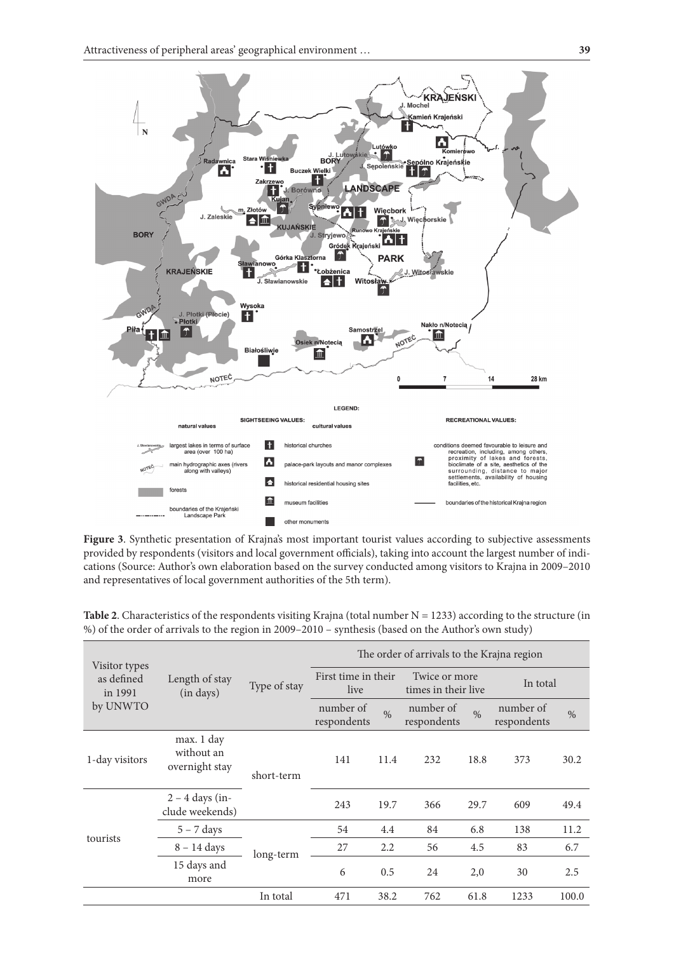

**Figure 3**. Synthetic presentation of Krajna's most important tourist values according to subjective assessments provided by respondents (visitors and local government officials), taking into account the largest number of indications (Source: Author's own elaboration based on the survey conducted among visitors to Krajna in 2009–2010 and representatives of local government authorities of the 5th term).

| Visitor types         | Length of stay<br>(in days)                | Type of stay | The order of arrivals to the Krajna region |               |                                      |               |                          |       |
|-----------------------|--------------------------------------------|--------------|--------------------------------------------|---------------|--------------------------------------|---------------|--------------------------|-------|
| as defined<br>in 1991 |                                            |              | First time in their<br>live                |               | Twice or more<br>times in their live |               | In total                 |       |
| by UNWTO              |                                            |              | number of<br>respondents                   | $\frac{0}{6}$ | number of<br>respondents             | $\frac{0}{0}$ | number of<br>respondents | $\%$  |
| 1-day visitors        | max. 1 day<br>without an<br>overnight stay | short-term   | 141                                        | 11.4          | 232                                  | 18.8          | 373                      | 30.2  |
|                       | $2 - 4$ days (in-<br>clude weekends)       |              | 243                                        | 19.7          | 366                                  | 29.7          | 609                      | 49.4  |
|                       | $5 - 7$ days                               |              | 54                                         | 4.4           | 84                                   | 6.8           | 138                      | 11.2  |
| tourists              | $8 - 14$ days<br>long-term                 |              | 27                                         | 2.2           | 56                                   | 4.5           | 83                       | 6.7   |
|                       | 15 days and<br>more                        |              | 6                                          | 0.5           | 24                                   | 2,0           | 30                       | 2.5   |
|                       |                                            | In total     | 471                                        | 38.2          | 762                                  | 61.8          | 1233                     | 100.0 |

**Table 2**. Characteristics of the respondents visiting Krajna (total number  $N = 1233$ ) according to the structure (in %) of the order of arrivals to the region in 2009–2010 – synthesis (based on the Author's own study)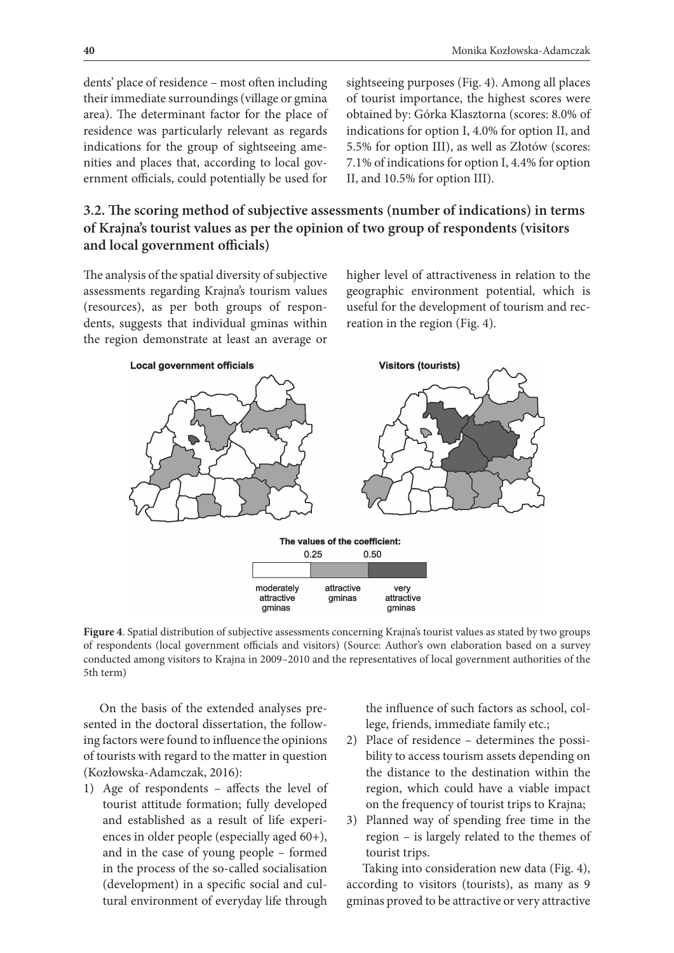dents' place of residence – most often including their immediate surroundings (village or gmina area). The determinant factor for the place of residence was particularly relevant as regards indications for the group of sightseeing amenities and places that, according to local government officials, could potentially be used for

sightseeing purposes (Fig. 4). Among all places of tourist importance, the highest scores were obtained by: Górka Klasztorna (scores: 8.0% of indications for option I, 4.0% for option II, and 5.5% for option III), as well as Złotów (scores: 7.1% of indications for option I, 4.4% for option II, and 10.5% for option III).

# **3.2. The scoring method of subjective assessments (number of indications) in terms of Krajna's tourist values as per the opinion of two group of respondents (visitors and local government officials)**

The analysis of the spatial diversity of subjective assessments regarding Krajna's tourism values (resources), as per both groups of respondents, suggests that individual gminas within the region demonstrate at least an average or

higher level of attractiveness in relation to the geographic environment potential, which is useful for the development of tourism and recreation in the region (Fig. 4).



**Figure 4**. Spatial distribution of subjective assessments concerning Krajna's tourist values as stated by two groups of respondents (local government officials and visitors) (Source: Author's own elaboration based on a survey conducted among visitors to Krajna in 2009–2010 and the representatives of local government authorities of the 5th term)

On the basis of the extended analyses presented in the doctoral dissertation, the following factors were found to influence the opinions of tourists with regard to the matter in question (Kozłowska-Adamczak, 2016):

1) Age of respondents – affects the level of tourist attitude formation; fully developed and established as a result of life experiences in older people (especially aged 60+), and in the case of young people – formed in the process of the so-called socialisation (development) in a specific social and cultural environment of everyday life through

the influence of such factors as school, college, friends, immediate family etc.;

- 2) Place of residence determines the possibility to access tourism assets depending on the distance to the destination within the region, which could have a viable impact on the frequency of tourist trips to Krajna;
- 3) Planned way of spending free time in the region – is largely related to the themes of tourist trips.

Taking into consideration new data (Fig. 4), according to visitors (tourists), as many as 9 gminas proved to be attractive or very attractive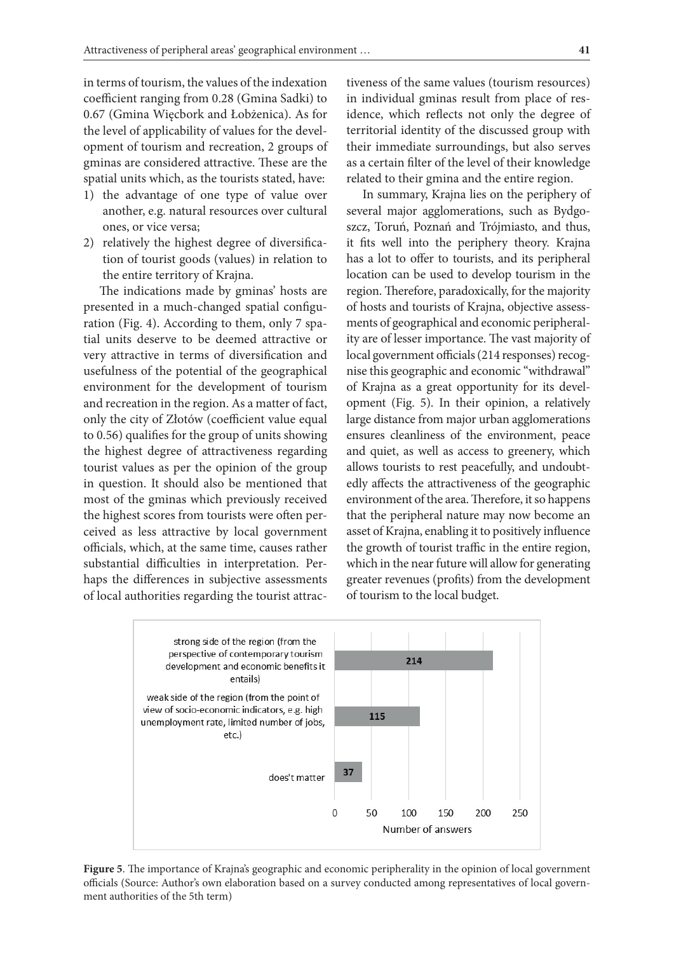in terms of tourism, the values of the indexation coefficient ranging from 0.28 (Gmina Sadki) to 0.67 (Gmina Więcbork and Łobżenica). As for the level of applicability of values for the development of tourism and recreation, 2 groups of gminas are considered attractive. These are the spatial units which, as the tourists stated, have:

- 1) the advantage of one type of value over another, e.g. natural resources over cultural ones, or vice versa;
- 2) relatively the highest degree of diversification of tourist goods (values) in relation to the entire territory of Krajna.

The indications made by gminas' hosts are presented in a much-changed spatial configuration (Fig. 4). According to them, only 7 spatial units deserve to be deemed attractive or very attractive in terms of diversification and usefulness of the potential of the geographical environment for the development of tourism and recreation in the region. As a matter of fact, only the city of Złotów (coefficient value equal to 0.56) qualifies for the group of units showing the highest degree of attractiveness regarding tourist values as per the opinion of the group in question. It should also be mentioned that most of the gminas which previously received the highest scores from tourists were often perceived as less attractive by local government officials, which, at the same time, causes rather substantial difficulties in interpretation. Perhaps the differences in subjective assessments of local authorities regarding the tourist attrac-

tiveness of the same values (tourism resources) in individual gminas result from place of residence, which reflects not only the degree of territorial identity of the discussed group with their immediate surroundings, but also serves as a certain filter of the level of their knowledge related to their gmina and the entire region.

In summary, Krajna lies on the periphery of several major agglomerations, such as Bydgoszcz, Toruń, Poznań and Trójmiasto, and thus, it fits well into the periphery theory. Krajna has a lot to offer to tourists, and its peripheral location can be used to develop tourism in the region. Therefore, paradoxically, for the majority of hosts and tourists of Krajna, objective assessments of geographical and economic peripherality are of lesser importance. The vast majority of local government officials (214 responses) recognise this geographic and economic "withdrawal" of Krajna as a great opportunity for its development (Fig. 5). In their opinion, a relatively large distance from major urban agglomerations ensures cleanliness of the environment, peace and quiet, as well as access to greenery, which allows tourists to rest peacefully, and undoubtedly affects the attractiveness of the geographic environment of the area. Therefore, it so happens that the peripheral nature may now become an asset of Krajna, enabling it to positively influence the growth of tourist traffic in the entire region, which in the near future will allow for generating greater revenues (profits) from the development of tourism to the local budget.



**Figure 5**. The importance of Krajna's geographic and economic peripherality in the opinion of local government officials (Source: Author's own elaboration based on a survey conducted among representatives of local government authorities of the 5th term)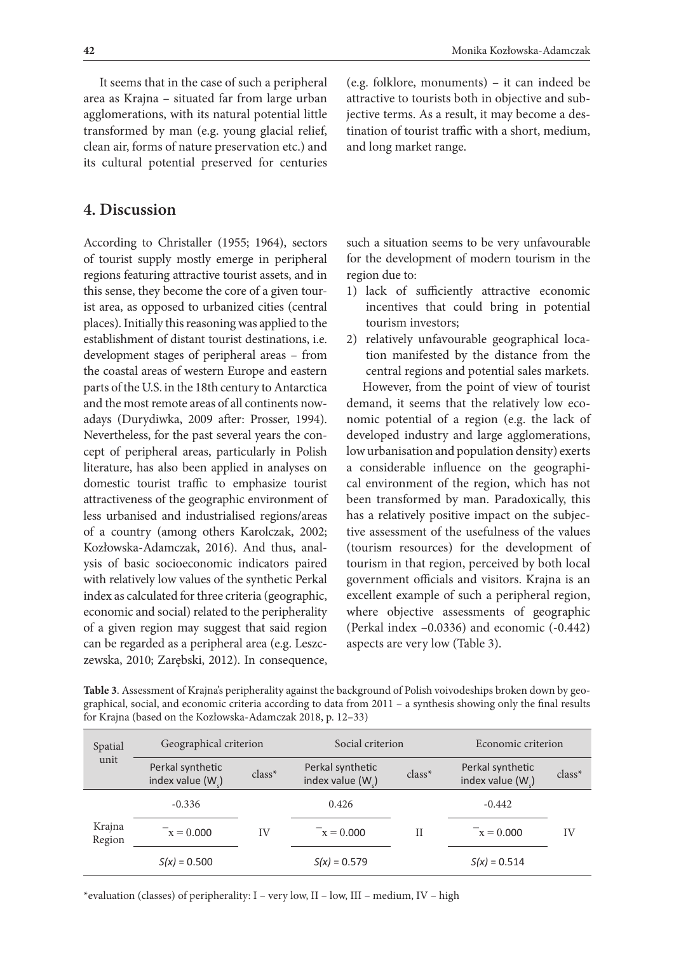It seems that in the case of such a peripheral area as Krajna – situated far from large urban agglomerations, with its natural potential little transformed by man (e.g. young glacial relief, clean air, forms of nature preservation etc.) and its cultural potential preserved for centuries

## **4. Discussion**

According to Christaller (1955; 1964), sectors of tourist supply mostly emerge in peripheral regions featuring attractive tourist assets, and in this sense, they become the core of a given tourist area, as opposed to urbanized cities (central places). Initially this reasoning was applied to the establishment of distant tourist destinations, i.e. development stages of peripheral areas – from the coastal areas of western Europe and eastern parts of the U.S. in the 18th century to Antarctica and the most remote areas of all continents nowadays (Durydiwka, 2009 after: Prosser, 1994). Nevertheless, for the past several years the concept of peripheral areas, particularly in Polish literature, has also been applied in analyses on domestic tourist traffic to emphasize tourist attractiveness of the geographic environment of less urbanised and industrialised regions/areas of a country (among others Karolczak, 2002; Kozłowska-Adamczak, 2016). And thus, analysis of basic socioeconomic indicators paired with relatively low values of the synthetic Perkal index as calculated for three criteria (geographic, economic and social) related to the peripherality of a given region may suggest that said region can be regarded as a peripheral area (e.g. Leszczewska, 2010; Zarębski, 2012). In consequence,

(e.g. folklore, monuments) – it can indeed be attractive to tourists both in objective and subjective terms. As a result, it may become a destination of tourist traffic with a short, medium, and long market range.

such a situation seems to be very unfavourable for the development of modern tourism in the region due to:

- 1) lack of sufficiently attractive economic incentives that could bring in potential tourism investors;
- 2) relatively unfavourable geographical location manifested by the distance from the central regions and potential sales markets.

However, from the point of view of tourist demand, it seems that the relatively low economic potential of a region (e.g. the lack of developed industry and large agglomerations, low urbanisation and population density) exerts a considerable influence on the geographical environment of the region, which has not been transformed by man. Paradoxically, this has a relatively positive impact on the subjective assessment of the usefulness of the values (tourism resources) for the development of tourism in that region, perceived by both local government officials and visitors. Krajna is an excellent example of such a peripheral region, where objective assessments of geographic (Perkal index –0.0336) and economic (-0.442) aspects are very low (Table 3).

| for Krajna (based on the Koziowska-Adamczak 2018, p. 12–33) |                                        |          |                                     |             |                                     |        |  |  |
|-------------------------------------------------------------|----------------------------------------|----------|-------------------------------------|-------------|-------------------------------------|--------|--|--|
| Spatial<br>unit                                             | Geographical criterion                 |          | Social criterion                    |             | Economic criterion                  |        |  |  |
|                                                             | Perkal synthetic<br>index value $(Ws)$ | $class*$ | Perkal synthetic<br>index value (W) | $class^*$   | Perkal synthetic<br>index value (W) | class* |  |  |
| Krajna<br>Region                                            | $-0.336$                               |          | 0.426                               | $_{\rm II}$ | $-0.442$                            | IV     |  |  |
|                                                             | $x = 0.000$                            | IV       | $x = 0.000$                         |             | $x = 0.000$                         |        |  |  |
|                                                             | $S(x) = 0.500$                         |          | $S(x) = 0.579$                      |             | $S(x) = 0.514$                      |        |  |  |

**Table 3**. Assessment of Krajna's peripherality against the background of Polish voivodeships broken down by geographical, social, and economic criteria according to data from 2011 – a synthesis showing only the final results an the Korkovska-Ad

\*evaluation (classes) of peripherality: I – very low, II – low, III – medium, IV – high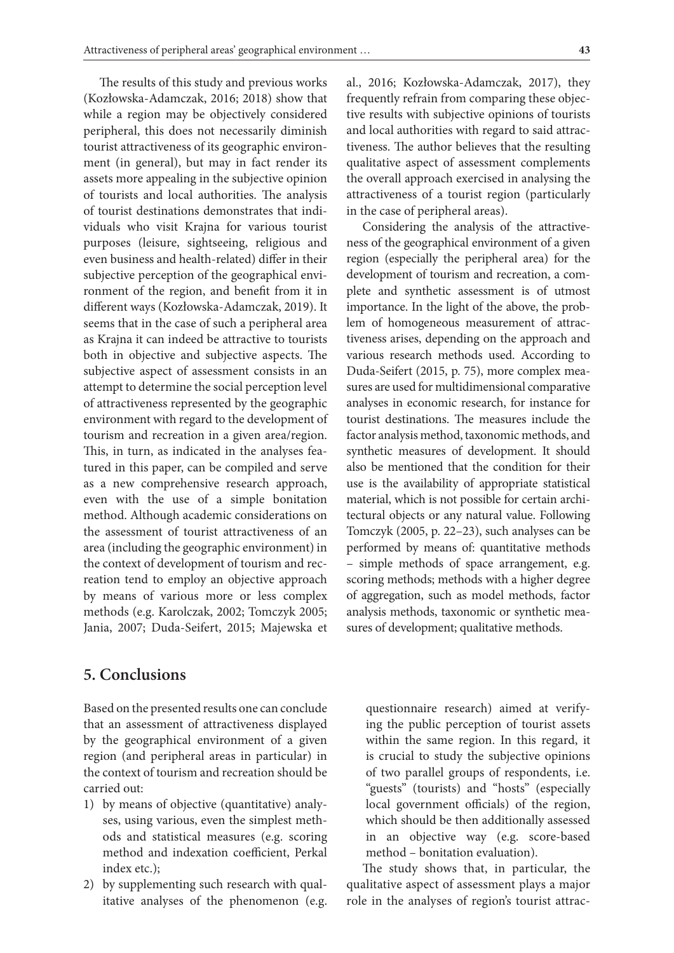The results of this study and previous works (Kozłowska-Adamczak, 2016; 2018) show that while a region may be objectively considered peripheral, this does not necessarily diminish tourist attractiveness of its geographic environment (in general), but may in fact render its assets more appealing in the subjective opinion of tourists and local authorities. The analysis of tourist destinations demonstrates that individuals who visit Krajna for various tourist purposes (leisure, sightseeing, religious and even business and health-related) differ in their subjective perception of the geographical environment of the region, and benefit from it in different ways (Kozłowska-Adamczak, 2019). It seems that in the case of such a peripheral area as Krajna it can indeed be attractive to tourists both in objective and subjective aspects. The subjective aspect of assessment consists in an attempt to determine the social perception level of attractiveness represented by the geographic environment with regard to the development of tourism and recreation in a given area/region. This, in turn, as indicated in the analyses featured in this paper, can be compiled and serve as a new comprehensive research approach, even with the use of a simple bonitation method. Although academic considerations on the assessment of tourist attractiveness of an area (including the geographic environment) in the context of development of tourism and recreation tend to employ an objective approach by means of various more or less complex methods (e.g. Karolczak, 2002; Tomczyk 2005; Jania, 2007; Duda-Seifert, 2015; Majewska et

al., 2016; Kozłowska-Adamczak, 2017), they frequently refrain from comparing these objective results with subjective opinions of tourists and local authorities with regard to said attractiveness. The author believes that the resulting qualitative aspect of assessment complements the overall approach exercised in analysing the attractiveness of a tourist region (particularly in the case of peripheral areas).

Considering the analysis of the attractiveness of the geographical environment of a given region (especially the peripheral area) for the development of tourism and recreation, a complete and synthetic assessment is of utmost importance. In the light of the above, the problem of homogeneous measurement of attractiveness arises, depending on the approach and various research methods used. According to Duda-Seifert (2015, p. 75), more complex measures are used for multidimensional comparative analyses in economic research, for instance for tourist destinations. The measures include the factor analysis method, taxonomic methods, and synthetic measures of development. It should also be mentioned that the condition for their use is the availability of appropriate statistical material, which is not possible for certain architectural objects or any natural value. Following Tomczyk (2005, p. 22–23), such analyses can be performed by means of: quantitative methods – simple methods of space arrangement, e.g. scoring methods; methods with a higher degree of aggregation, such as model methods, factor analysis methods, taxonomic or synthetic measures of development; qualitative methods.

## **5. Conclusions**

Based on the presented results one can conclude that an assessment of attractiveness displayed by the geographical environment of a given region (and peripheral areas in particular) in the context of tourism and recreation should be carried out:

- 1) by means of objective (quantitative) analyses, using various, even the simplest methods and statistical measures (e.g. scoring method and indexation coefficient, Perkal index etc.);
- 2) by supplementing such research with qualitative analyses of the phenomenon (e.g.

questionnaire research) aimed at verifying the public perception of tourist assets within the same region. In this regard, it is crucial to study the subjective opinions of two parallel groups of respondents, i.e. "guests" (tourists) and "hosts" (especially local government officials) of the region, which should be then additionally assessed in an objective way (e.g. score-based method – bonitation evaluation).

The study shows that, in particular, the qualitative aspect of assessment plays a major role in the analyses of region's tourist attrac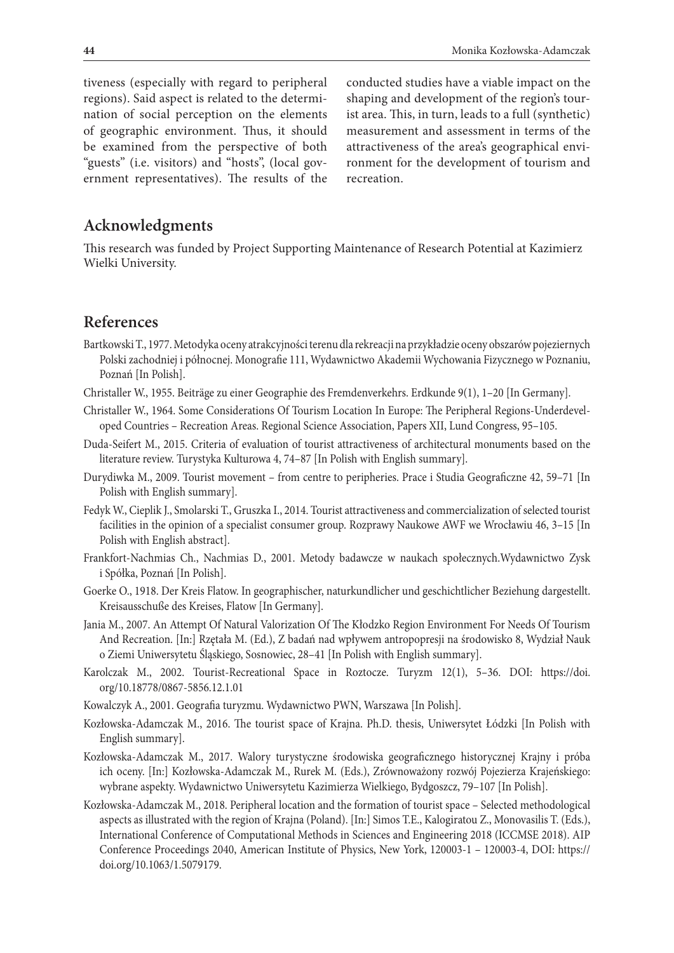tiveness (especially with regard to peripheral regions). Said aspect is related to the determination of social perception on the elements of geographic environment. Thus, it should be examined from the perspective of both "guests" (i.e. visitors) and "hosts", (local government representatives). The results of the

conducted studies have a viable impact on the shaping and development of the region's tourist area. This, in turn, leads to a full (synthetic) measurement and assessment in terms of the attractiveness of the area's geographical environment for the development of tourism and recreation.

# **Acknowledgments**

This research was funded by Project Supporting Maintenance of Research Potential at Kazimierz Wielki University.

## **References**

- Bartkowski T., 1977. Metodyka oceny atrakcyjności terenu dla rekreacji na przykładzie oceny obszarów pojeziernych Polski zachodniej i północnej. Monografie 111, Wydawnictwo Akademii Wychowania Fizycznego w Poznaniu, Poznań [In Polish].
- Christaller W., 1955. Beiträge zu einer Geographie des Fremdenverkehrs. Erdkunde 9(1), 1–20 [In Germany].
- Christaller W., 1964. Some Considerations Of Tourism Location In Europe: The Peripheral Regions-Underdeveloped Countries – Recreation Areas. Regional Science Association, Papers XII, Lund Congress, 95–105.
- Duda-Seifert M., 2015. Criteria of evaluation of tourist attractiveness of architectural monuments based on the literature review. Turystyka Kulturowa 4, 74–87 [In Polish with English summary].
- Durydiwka M., 2009. Tourist movement from centre to peripheries. Prace i Studia Geograficzne 42, 59–71 [In Polish with English summary].
- Fedyk W., Cieplik J., Smolarski T., Gruszka I., 2014. Tourist attractiveness and commercialization of selected tourist facilities in the opinion of a specialist consumer group. Rozprawy Naukowe AWF we Wrocławiu 46, 3–15 [In Polish with English abstract].
- Frankfort-Nachmias Ch., Nachmias D., 2001. Metody badawcze w naukach społecznych.Wydawnictwo Zysk i Spółka, Poznań [In Polish].
- Goerke O., 1918. Der Kreis Flatow. In geographischer, naturkundlicher und geschichtlicher Beziehung dargestellt. Kreisausschuße des Kreises, Flatow [In Germany].
- Jania M., 2007. An Attempt Of Natural Valorization Of The Kłodzko Region Environment For Needs Of Tourism And Recreation. [In:] Rzętała M. (Ed.), Z badań nad wpływem antropopresji na środowisko 8, Wydział Nauk o Ziemi Uniwersytetu Śląskiego, Sosnowiec, 28–41 [In Polish with English summary].
- Karolczak M., 2002. Tourist-Recreational Space in Roztocze. Turyzm 12(1), 5–36. DOI: https://doi. org/10.18778/0867-5856.12.1.01
- Kowalczyk A., 2001. Geografia turyzmu. Wydawnictwo PWN, Warszawa [In Polish].
- Kozłowska-Adamczak M., 2016. The tourist space of Krajna. Ph.D. thesis, Uniwersytet Łódzki [In Polish with English summary].
- Kozłowska-Adamczak M., 2017. Walory turystyczne środowiska geograficznego historycznej Krajny i próba ich oceny. [In:] Kozłowska-Adamczak M., Rurek M. (Eds.), Zrównoważony rozwój Pojezierza Krajeńskiego: wybrane aspekty. Wydawnictwo Uniwersytetu Kazimierza Wielkiego, Bydgoszcz, 79–107 [In Polish].
- Kozłowska-Adamczak M., 2018. Peripheral location and the formation of tourist space Selected methodological aspects as illustrated with the region of Krajna (Poland). [In:] Simos T.E., Kalogiratou Z., Monovasilis T. (Eds.), International Conference of Computational Methods in Sciences and Engineering 2018 (ICCMSE 2018). AIP Conference Proceedings 2040, American Institute of Physics, New York, 120003-1 – 120003-4, DOI: https:// doi.org/10.1063/1.5079179.